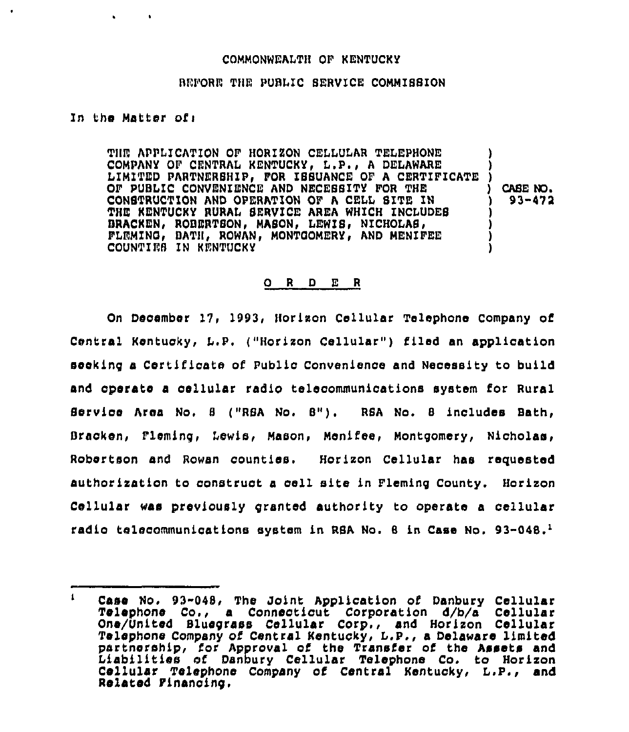## COMMONWEALTH OF KENTUCKY

## BEFORE THE PUBLIC SERVICE COMMISSION

## In the Matter of:

THE APPLICATION OF HORIZON CELLULAR TELEPHONE COMPANY OF CENTRAL KENTUCKY, L.P., A DELAWARE LIMITED PARTNERSHIP, FOR ISSUANCE OF A CERTIFICATE ) OF PUBLIC CONVENIENCE AND NECESSITY FOR THE CASE NO. CONSTRUCTION AND OPERATION OF A CELL SITE IN  $93 - 472$ THE KENTUCKY RURAL SERVICE AREA WHICH INCLUDES BRACKEN, ROBERTSON, MASON, LEWIS, NICHOLAS, FLEMING, BATH, ROWAN, MONTGOMERY, AND MENIFEE COUNTIES IN RENTUCKY

## O R D E R

On December 17, 1993, Horizon Cellular Telephone Company of Central Kentucky, L.P. ("Horizon Cellular") filed an application sceking a Certificate of Public Convenience and Necessity to build and operate a cellular radio telecommunications system for Rural Service Area No. 8 ("RSA No. 8"). RSA No. 8 includes Bath. Bracken, Fleming, Lewis, Mason, Menifee, Montgomery, Nicholas, Robertson and Rowan counties. Horizon Cellular has requested authorization to construct a cell site in Fleming County. Horizon Cellular was previously granted authority to operate a cellular radio telecommunications system in RSA No. 8 in Case No. 93-048.<sup>1</sup>

 $\mathbf{I}$ Case No. 93-048, The Joint Application of Danbury Cellular Telephone Co., a Connecticut Corporation d/b/a Cellular One/United Bluegrass Cellular Corp., and Horizon Cellular Telephone Company of Central Kentucky, L.P., a Delaware limited partnership, for Approval of the Transfer of the Assets and Liabilities of Danbury Cellular Telephone Co. to Horizon Cellular Telephone Company of Central Kentucky, L.P., and Related Financing.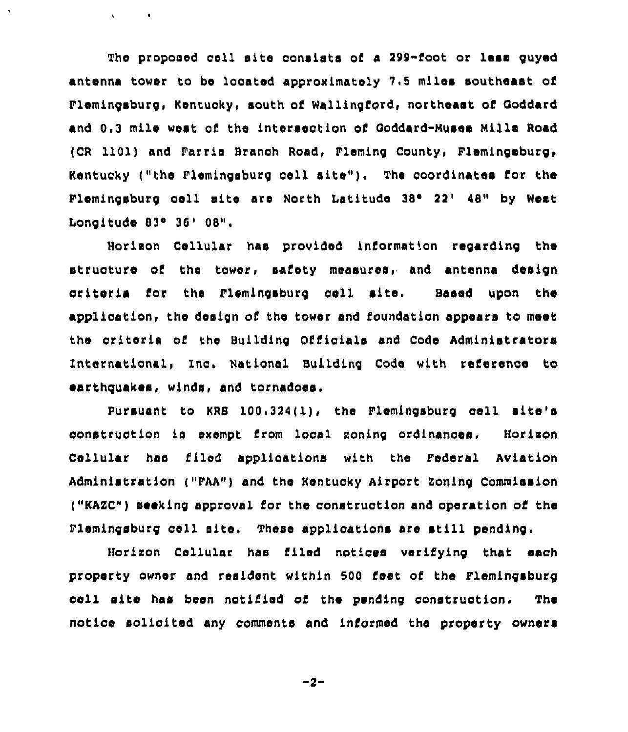The proposed cell site consists of a 299-foot or less guyed antenna tower to be located approximately 7 <sup>5</sup> miles southeast of Flemingsburg, Kentucky, south of Wallingford, northeast of Ooddard and 0.3 mile west of the intersection of Goddard-Muses Mills Road (CR 1101) and Parris Branch Road, Pleming County, Flemingsburg, Kentucky ("the Flemingsburg cell site"). The coordinates for the Flemingsburg cell site are North Latitude 38° 22' 48" by West Longitude 83° 36' 08".

 $\mathbf{v} = \mathbf{v} \times \mathbf{v} = \mathbf{0}$  .

Horixon Cellular has provided information regarding the structure of the tower, safety measures, and antenna design criteria for the Flemingsburg cell site. Based upon the application, the design of the tower and foundation appears to meet the criteria of the Building Officials and Code Administrators International, Inc. National Building Code with reference to earthquakes, winds, and tornadoes,

Pursuant to KRS 100.324(1), the Plemingsburg cell site's construction is exempt from local soning ordinances. Horixon Cellular has filed applications with the Federal Aviation Administration ("FAA") and the Kentucky Airport Zoning Commission ("KAZC") seeking approval for the construction and operation of the Flemingsburg cell site. These applications are still pending.

Horixon Cellular has filed notices verifying that each property owner and resident within 500 feet of the Flemingsburg cell site has been notified of the pending construction. The notice solicited any comments and informed the property owners

$$
-2 -
$$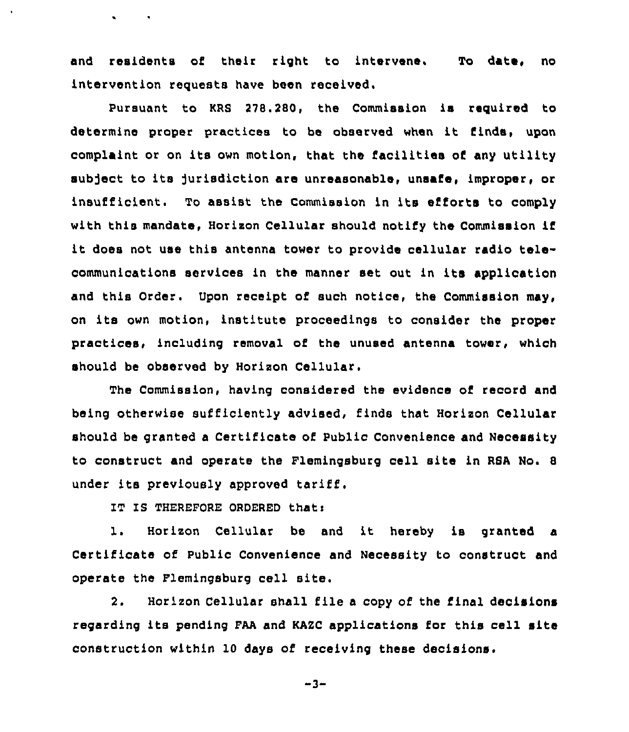and residents of their right to intervene. To date, no intervention requests have been received.

Pursuant to KRS 278.280, the Commission is required to determine proper practices to be observed when it finds, upon complaint or on its own motion, that the facilities of any utility subject to its Jurisdiction are unreasonable, unsafe, improper, or insufficient. To assist the Commission in its efforts to comply with this mandate, Horizon Cellular should notify the Commission if it does not use this antenna tower to provide cellular radio telecommunications services in the manner set out in its application and this Order. Upon receipt of such notice, the Commission may, on its own motion, institute proceedings to consider the proper practices, including removal of the unused antenna tower, which should be observed by Horizon Cellular.

The Commission, having considered the evidence of record and being otherwise sufficiently advised, finds that Horizon Cellular should be granted a Certificate of Public Convenience and Necessity to construct and operate the Flemingsburg cell site in RSA No. <sup>8</sup> under its previously approved tariff,

IT IS THEREFORE ORDERED that:

 $\bullet$  . The set of  $\bullet$ 

1. Horizon Cellular be and it hereby is granted <sup>a</sup> Certificate of Public Convenience and Necessity to construct and operate the Flemingsburg cell site.

2. Horizon Cellular shall file a copy of the final decisions regarding its pending FAA and KAZC applications for this cell site construction within 10 days of receiving these decisions.

 $-3-$